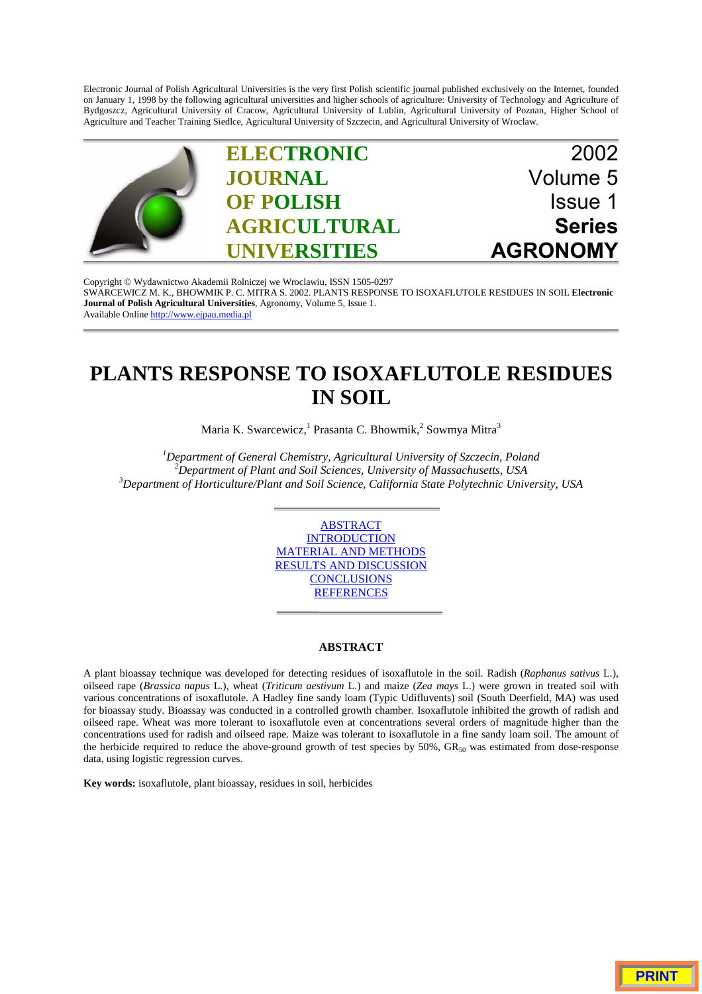Electronic Journal of Polish Agricultural Universities is the very first Polish scientific journal published exclusively on the Internet, founded on January 1, 1998 by the following agricultural universities and higher schools of agriculture: University of Technology and Agriculture of Bydgoszcz, Agricultural University of Cracow, Agricultural University of Lublin, Agricultural University of Poznan, Higher School of Agriculture and Teacher Training Siedlce, Agricultural University of Szczecin, and Agricultural University of Wroclaw.



Copyright © Wydawnictwo Akademii Rolniczej we Wroclawiu, ISSN 1505-0297 [SWARCEWICZ M. K., BHOWMIK P. C. MITRA S. 2002. PLANTS RESPONSE TO ISOXAFLUTOLE RESIDUES IN SOIL](http://www.ejpau.media.pl) **Electronic Journal of Polish Agricultural Universities**, Agronomy, Volume 5, Issue 1. Available Online http://www.ejpau.media.pl

# **PLANTS RESPONSE TO ISOXAFLUTOLE RESIDUES IN SOIL**

Maria K. Swarcewicz,<sup>1</sup> Prasanta C. Bhowmik,<sup>2</sup> Sowmya Mitra<sup>3</sup>

*1 Department of General Chemistry, Agricultural University of Szczecin, Poland <sup>2</sup> Department of Plant and Soil Sciences, University of Massachusetts, USA <sup>3</sup> Department of Horticulture/Plant and Soil Science, California State Polytechnic University, USA*



# **ABSTRACT**

A plant bioassay technique was developed for detecting residues of isoxaflutole in the soil. Radish (*Raphanus sativus* L.), oilseed rape (*Brassica napus* L.), wheat (*Triticum aestivum* L.) and maize (*Zea mays* L.) were grown in treated soil with various concentrations of isoxaflutole. A Hadley fine sandy loam (Typic Udifluvents) soil (South Deerfield, MA) was used for bioassay study. Bioassay was conducted in a controlled growth chamber. Isoxaflutole inhibited the growth of radish and oilseed rape. Wheat was more tolerant to isoxaflutole even at concentrations several orders of magnitude higher than the concentrations used for radish and oilseed rape. Maize was tolerant to isoxaflutole in a fine sandy loam soil. The amount of the herbicide required to reduce the above-ground growth of test species by  $50\%$ ,  $GR_{50}$  was estimated from dose-response data, using logistic regression curves.

**Key words:** isoxaflutole, plant bioassay, residues in soil, herbicides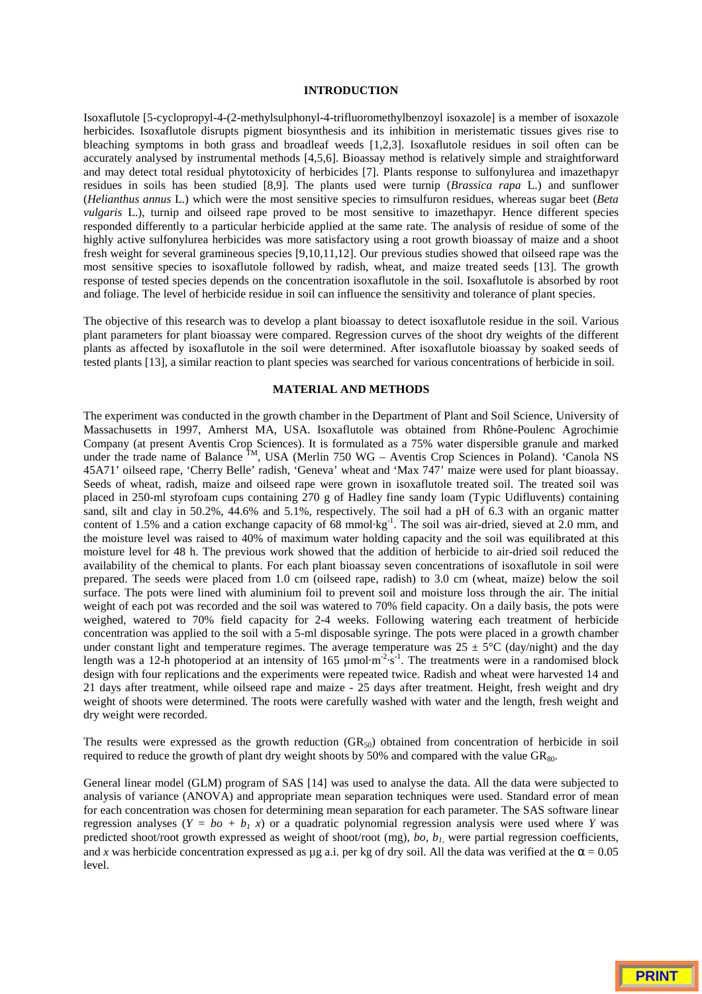# **INTRODUCTION**

Isoxaflutole [5-cyclopropyl-4-(2-methylsulphonyl-4-trifluoromethylbenzoyl isoxazole] is a member of isoxazole herbicides. Isoxaflutole disrupts pigment biosynthesis and its inhibition in meristematic tissues gives rise to bleaching symptoms in both grass and broadleaf weeds [1,2,3]. Isoxaflutole residues in soil often can be accurately analysed by instrumental methods [4,5,6]. Bioassay method is relatively simple and straightforward and may detect total residual phytotoxicity of herbicides [7]. Plants response to sulfonylurea and imazethapyr residues in soils has been studied [8,9]. The plants used were turnip (*Brassica rapa* L.) and sunflower (*Helianthus annus* L.) which were the most sensitive species to rimsulfuron residues, whereas sugar beet (*Beta vulgaris* L.), turnip and oilseed rape proved to be most sensitive to imazethapyr. Hence different species responded differently to a particular herbicide applied at the same rate. The analysis of residue of some of the highly active sulfonylurea herbicides was more satisfactory using a root growth bioassay of maize and a shoot fresh weight for several gramineous species [9,10,11,12]. Our previous studies showed that oilseed rape was the most sensitive species to isoxaflutole followed by radish, wheat, and maize treated seeds [13]. The growth response of tested species depends on the concentration isoxaflutole in the soil. Isoxaflutole is absorbed by root and foliage. The level of herbicide residue in soil can influence the sensitivity and tolerance of plant species.

The objective of this research was to develop a plant bioassay to detect isoxaflutole residue in the soil. Various plant parameters for plant bioassay were compared. Regression curves of the shoot dry weights of the different plants as affected by isoxaflutole in the soil were determined. After isoxaflutole bioassay by soaked seeds of tested plants [13], a similar reaction to plant species was searched for various concentrations of herbicide in soil.

# **MATERIAL AND METHODS**

The experiment was conducted in the growth chamber in the Department of Plant and Soil Science, University of Massachusetts in 1997, Amherst MA, USA. Isoxaflutole was obtained from Rhône-Poulenc Agrochimie Company (at present Aventis Crop Sciences). It is formulated as a 75% water dispersible granule and marked under the trade name of Balance <sup>TM</sup>, USA (Merlin 750 WG – Aventis Crop Sciences in Poland). 'Canola NS 45A71' oilseed rape, 'Cherry Belle' radish, 'Geneva' wheat and 'Max 747' maize were used for plant bioassay. Seeds of wheat, radish, maize and oilseed rape were grown in isoxaflutole treated soil. The treated soil was placed in 250-ml styrofoam cups containing 270 g of Hadley fine sandy loam (Typic Udifluvents) containing sand, silt and clay in 50.2%, 44.6% and 5.1%, respectively. The soil had a pH of 6.3 with an organic matter content of 1.5% and a cation exchange capacity of 68 mmol·kg<sup>-1</sup>. The soil was air-dried, sieved at 2.0 mm, and the moisture level was raised to 40% of maximum water holding capacity and the soil was equilibrated at this moisture level for 48 h. The previous work showed that the addition of herbicide to air-dried soil reduced the availability of the chemical to plants. For each plant bioassay seven concentrations of isoxaflutole in soil were prepared. The seeds were placed from 1.0 cm (oilseed rape, radish) to 3.0 cm (wheat, maize) below the soil surface. The pots were lined with aluminium foil to prevent soil and moisture loss through the air. The initial weight of each pot was recorded and the soil was watered to 70% field capacity. On a daily basis, the pots were weighed, watered to 70% field capacity for 2-4 weeks. Following watering each treatment of herbicide concentration was applied to the soil with a 5-ml disposable syringe. The pots were placed in a growth chamber under constant light and temperature regimes. The average temperature was  $25 \pm 5^{\circ}$ C (day/night) and the day length was a 12-h photoperiod at an intensity of 165  $\mu$ mol·m<sup>-2</sup>·s<sup>-1</sup>. The treatments were in a randomised block design with four replications and the experiments were repeated twice. Radish and wheat were harvested 14 and 21 days after treatment, while oilseed rape and maize - 25 days after treatment. Height, fresh weight and dry weight of shoots were determined. The roots were carefully washed with water and the length, fresh weight and dry weight were recorded.

The results were expressed as the growth reduction  $(GR_{50})$  obtained from concentration of herbicide in soil required to reduce the growth of plant dry weight shoots by 50% and compared with the value GR<sub>80</sub>.

General linear model (GLM) program of SAS [14] was used to analyse the data. All the data were subjected to analysis of variance (ANOVA) and appropriate mean separation techniques were used. Standard error of mean for each concentration was chosen for determining mean separation for each parameter. The SAS software linear regression analyses  $(Y = bo + b_1 x)$  or a quadratic polynomial regression analysis were used where *Y* was predicted shoot/root growth expressed as weight of shoot/root (mg),  $b_0$ ,  $b_1$ , were partial regression coefficients, and *x* was herbicide concentration expressed as µg a.i. per kg of dry soil. All the data was verified at the  $\alpha$  = 0.05 level.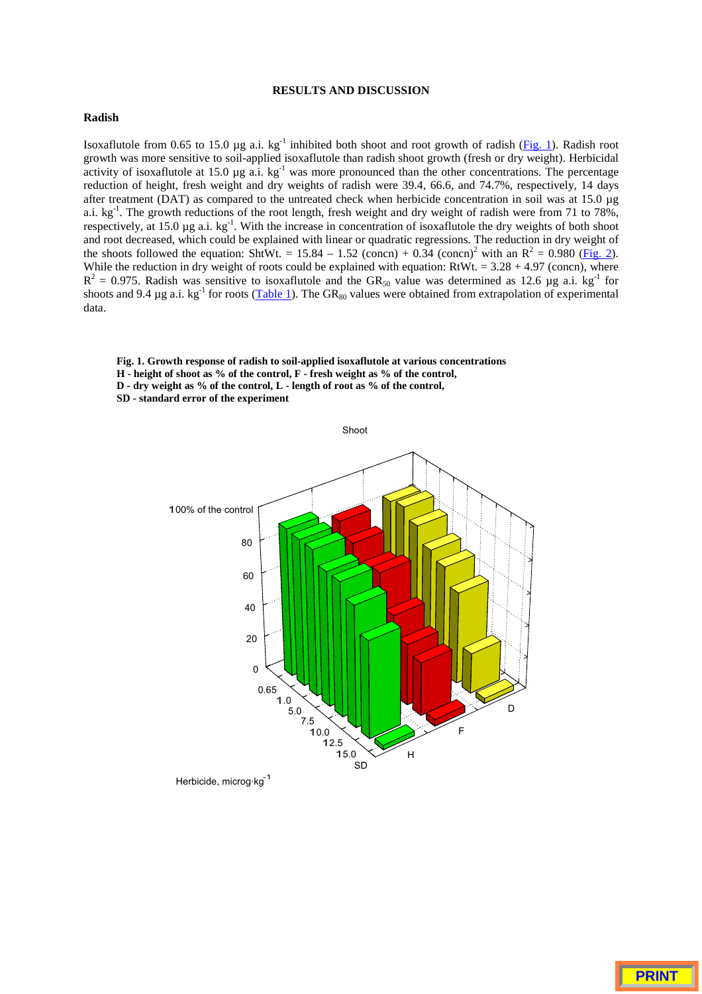# **RESULTS AND DISCUSSION**

#### **Radish**

Isoxaflutole from 0.65 to 15.0 µg a.i.  $kg^{-1}$  inhibited both shoot and root growth of radish (Fig. 1). Radish root growth was more sensitive to soil-applied isoxaflutole than radish shoot growth (fresh or dry weight). Herbicidal activity of isoxaflutole at 15.0  $\mu$ g a.i. kg<sup>-1</sup> was more pronounced than the other concentrations. The percentage reduction of height, fresh weight and dry weights of radish were 39.4, 66.6, and 74.7%, respectively, 14 days after treatment (DAT) as compared to the untreated check when herbicide concentration in soil was at 15.0 µg a.i. kg-1. The growth reductions of the root length, fresh weight and dry weight of radish were from 71 to 78%, respectively, at 15.0 µg a.i. kg<sup>-1</sup>. With the increase in concentration of isoxaflutole the dry weights of both shoot and root decreased, which could be explained with linear or quadratic regressions. The reduction in dry weight of the shoots followed the equation: ShtWt. = 15.84 – 1.52 (concn) + 0.34 (concn)<sup>2</sup> with an  $R^2 = 0.980$  (Fig. 2). While the reduction in dry weight of roots could be explained with equation:  $R(Wt. = 3.28 + 4.97$  (concn), where  $R^2 = 0.975$ . Radish was sensitive to isoxaflutole and the GR<sub>50</sub> value was determined as 12.6 µg a.i. kg<sup>-1</sup> for shoots and 9.4  $\mu$ g a.i. kg<sup>-1</sup> for roots (Table 1). The GR<sub>80</sub> values were obtained from extrapolation of experimental data.





Herbicide, microg·kg<sup>-1</sup>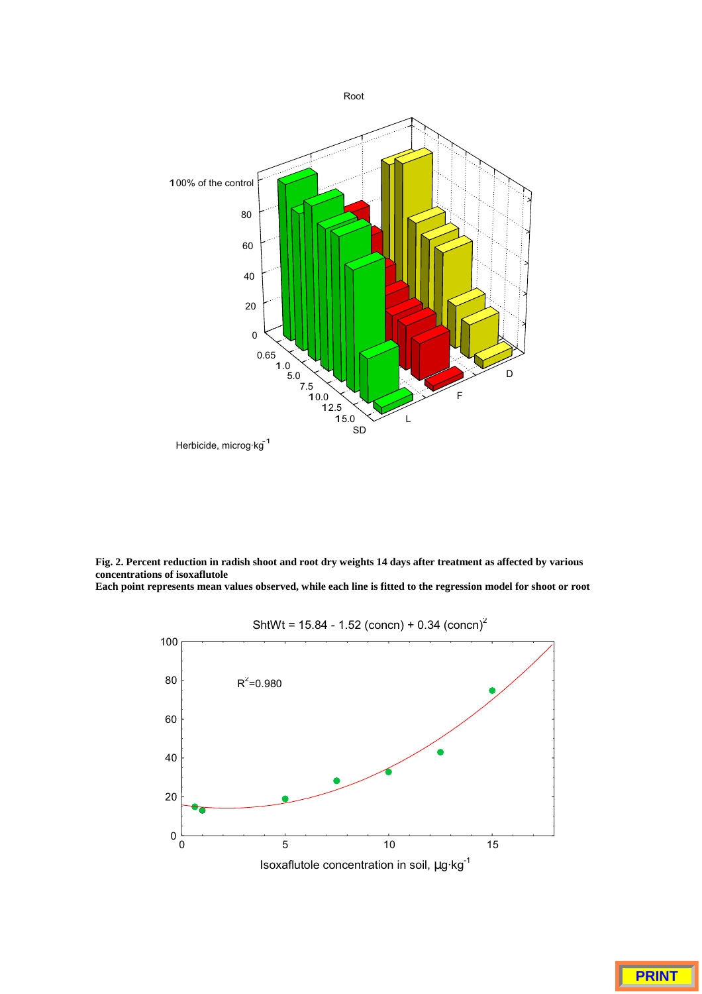

**Fig. 2. Percent reduction in radish shoot and root dry weights 14 days after treatment as affected by various concentrations of isoxaflutole**

**Each point represents mean values observed, while each line is fitted to the regression model for shoot or root**



**PRINT**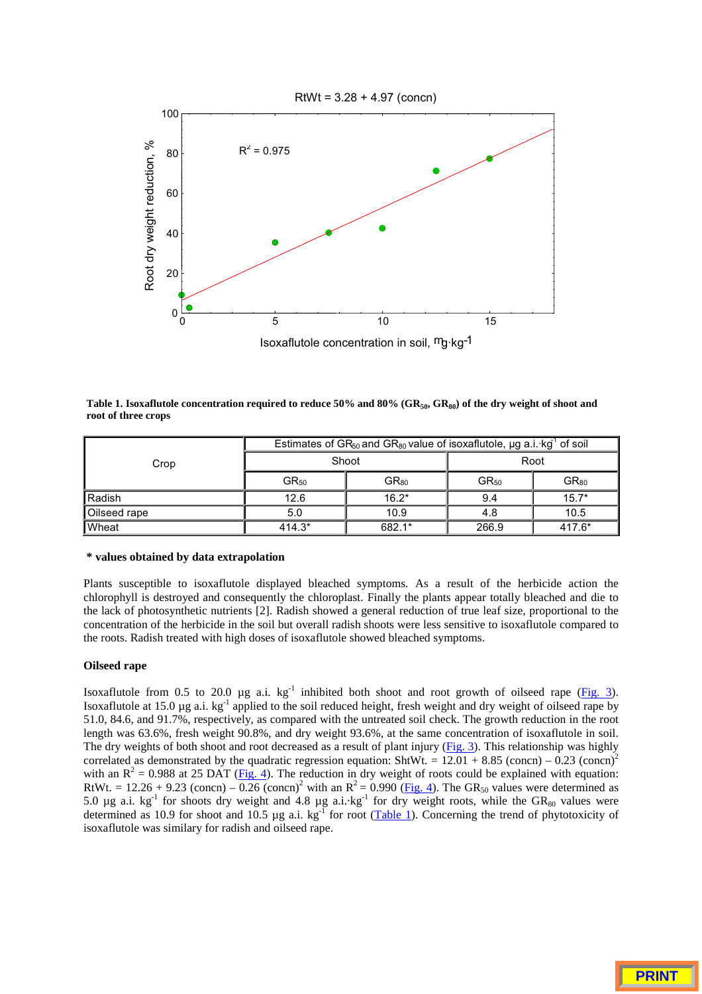

Table 1. Isoxaflutole concentration required to reduce 50% and 80% (GR<sub>50</sub>, GR<sub>50</sub>) of the dry weight of shoot and **root of three crops**

| Crop         | Estimates of GR <sub>50</sub> and GR <sub>80</sub> value of isoxaflutole, $\mu$ g a.i. kg <sup>-1</sup> of soil |           |           |           |
|--------------|-----------------------------------------------------------------------------------------------------------------|-----------|-----------|-----------|
|              | Shoot                                                                                                           |           | Root      |           |
|              | $GR_{50}$                                                                                                       | $GR_{80}$ | $GR_{50}$ | $GR_{80}$ |
| Radish       | 12.6                                                                                                            | $16.2*$   | 9.4       | $15.7*$   |
| Oilseed rape | 5.0                                                                                                             | 10.9      | 4.8       | 10.5      |
| Wheat        | $414.3*$                                                                                                        | 682.1*    | 266.9     | 417.6*    |

### **\* values obtained by data extrapolation**

Plants susceptible to isoxaflutole displayed bleached symptoms. As a result of the herbicide action the chlorophyll is destroyed and consequently the chloroplast. Finally the plants appear totally bleached and die to the lack of photosynthetic nutrients [2]. Radish showed a general reduction of true leaf size, proportional to the concentration of the herbicide in the soil but overall radish shoots were less sensitive to isoxaflutole compared to the roots. Radish treated with high doses of isoxaflutole showed bleached symptoms.

# **Oilseed rape**

Isoxaflutole from 0.5 to 20.0  $\mu$ g a.i. kg<sup>-1</sup> inhibited both shoot and root growth of oilseed rape (Fig. 3). Isoxaflutole at 15.0  $\mu$ g a.i. kg<sup>-1</sup> applied to the soil reduced height, fresh weight and dry weight of oilseed rape by 51.0, 84.6, and 91.7%, respectively, as compared with the untreated soil check. The growth reduction in the root length was 63.6%, fresh weight 90.8%, and dry weight 93.6%, at the same concentration of isoxaflutole in soil. The dry weights of both shoot and root decreased as a result of plant injury (Fig. 3). This relationship was highly correlated as demonstrated by the quadratic regression equation: ShtWt. =  $12.01 + 8.85$  (concn) – 0.23 (concn)<sup>2</sup> with an  $R^2 = 0.988$  at 25 DAT (Fig. 4). The reduction in dry weight of roots could be explained with equation: RtWt. = 12.26 + 9.23 (concn) – 0.26 (concn)<sup>2</sup> with an  $R^2 = 0.990$  (Fig. 4). The GR<sub>50</sub> values were determined as 5.0 µg a.i. kg<sup>-1</sup> for shoots dry weight and 4.8 µg a.i. $kg^{-1}$  for dry weight roots, while the GR<sub>80</sub> values were determined as 10.9 for shoot and 10.5 µg a.i. kg<sup>-1</sup> for root (Table 1). Concerning the trend of phytotoxicity of isoxaflutole was similary for radish and oilseed rape.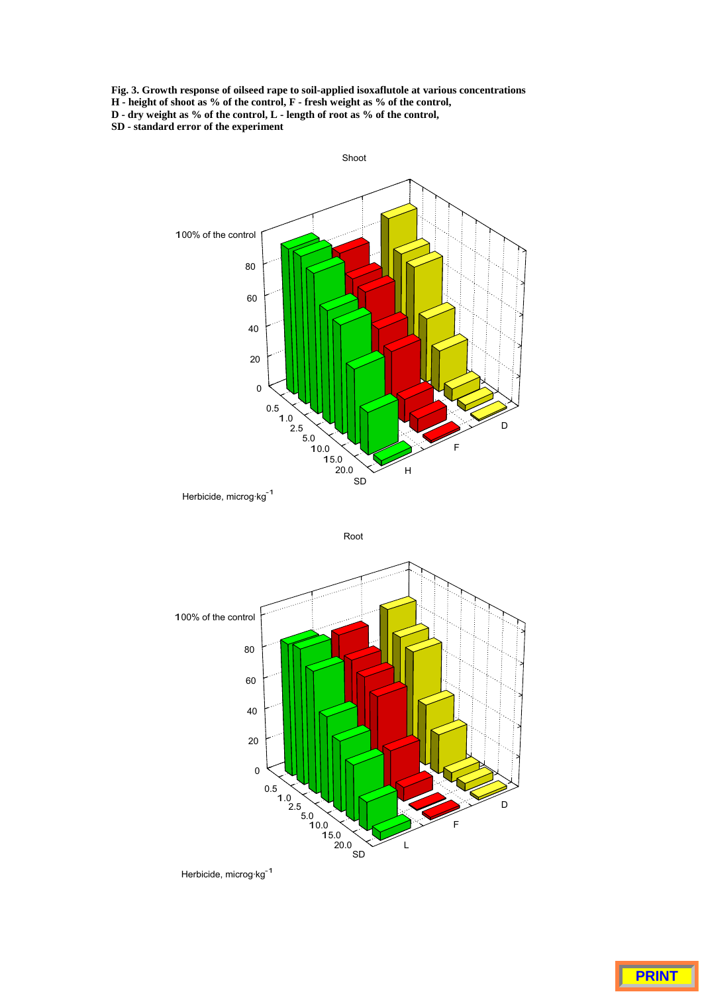**Fig. 3. Growth response of oilseed rape to soil-applied isoxaflutole at various concentrations H - height of shoot as % of the control, F - fresh weight as % of the control, D - dry weight as % of the control, L - length of root as % of the control, SD - standard error of the experiment**



Herbicide, microg·kg<sup>-1</sup>



Herbicide, microg·kg<sup>-1</sup>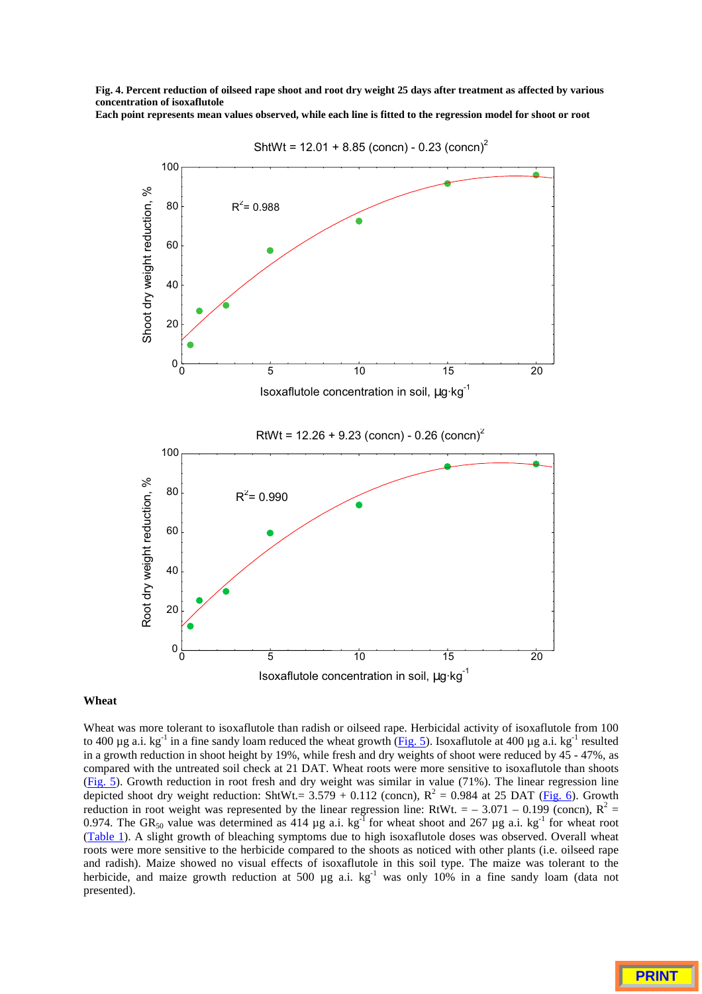**Fig. 4. Percent reduction of oilseed rape shoot and root dry weight 25 days after treatment as affected by various concentration of isoxaflutole Each point represents mean values observed, while each line is fitted to the regression model for shoot or root**



ShtWt =  $12.01 + 8.85$  (concn) - 0.23 (concn)<sup>2</sup>

# Isoxaflutole concentration in soil,  $\mu g \cdot kg^{-1}$

#### **Wheat**

Wheat was more tolerant to isoxaflutole than radish or oilseed rape. Herbicidal activity of isoxaflutole from 100 to 400  $\mu$ g a.i. kg<sup>-1</sup> in a fine sandy loam reduced the wheat growth (Fig. 5). Isoxaflutole at 400  $\mu$ g a.i. kg<sup>-1</sup> resulted in a growth reduction in shoot height by 19%, while fresh and dry weights of shoot were reduced by 45 - 47%, as compared with the untreated soil check at 21 DAT. Wheat roots were more sensitive to isoxaflutole than shoots (Fig. 5). Growth reduction in root fresh and dry weight was similar in value (71%). The linear regression line depicted shoot dry weight reduction: ShtWt.=  $3.579 + 0.112$  (concn),  $R^2 = 0.984$  at 25 DAT (Fig. 6). Growth reduction in root weight was represented by the linear regression line: RtWt. =  $-3.071 - 0.199$  (concn),  $R^2 =$ 0.974. The GR<sub>50</sub> value was determined as 414 µg a.i. kg<sup>-1</sup> for wheat shoot and 267 µg a.i. kg<sup>-1</sup> for wheat root (Table 1). A slight growth of bleaching symptoms due to high isoxaflutole doses was observed. Overall wheat roots were more sensitive to the herbicide compared to the shoots as noticed with other plants (i.e. oilseed rape and radish). Maize showed no visual effects of isoxaflutole in this soil type. The maize was tolerant to the herbicide, and maize growth reduction at 500  $\mu$ g a.i. kg<sup>-1</sup> was only 10% in a fine sandy loam (data not presented).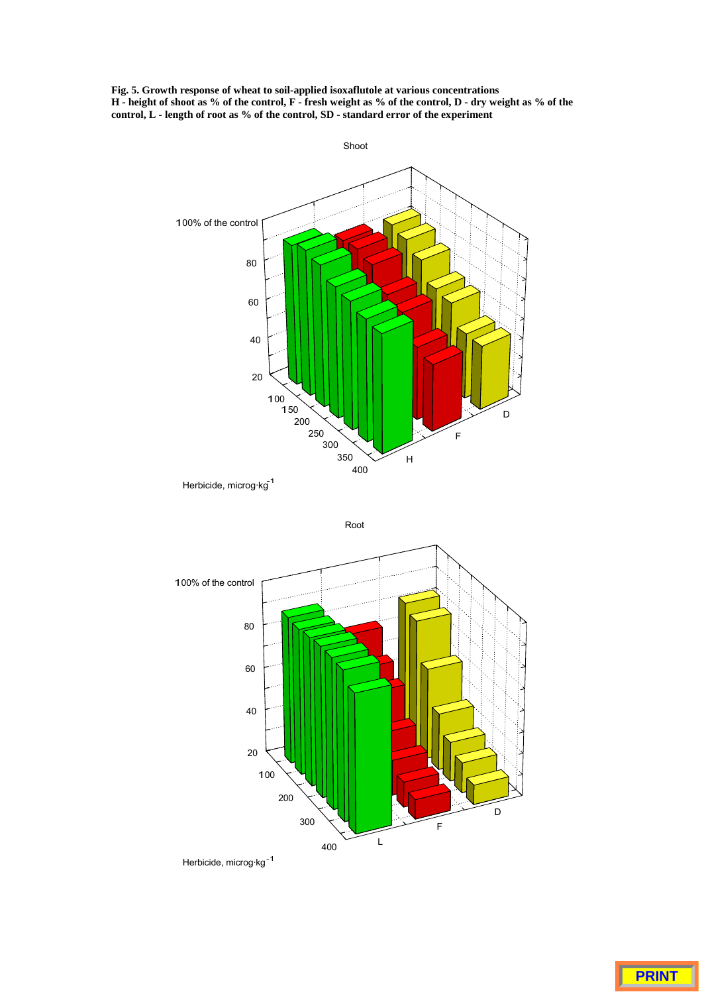**Fig. 5. Growth response of wheat to soil-applied isoxaflutole at various concentrations H - height of shoot as % of the control, F - fresh weight as % of the control, D - dry weight as % of the control, L - length of root as % of the control, SD - standard error of the experiment**



Herbicide, microg·kg<sup>-1</sup>



Herbicide, microg·kg<sup>-1</sup>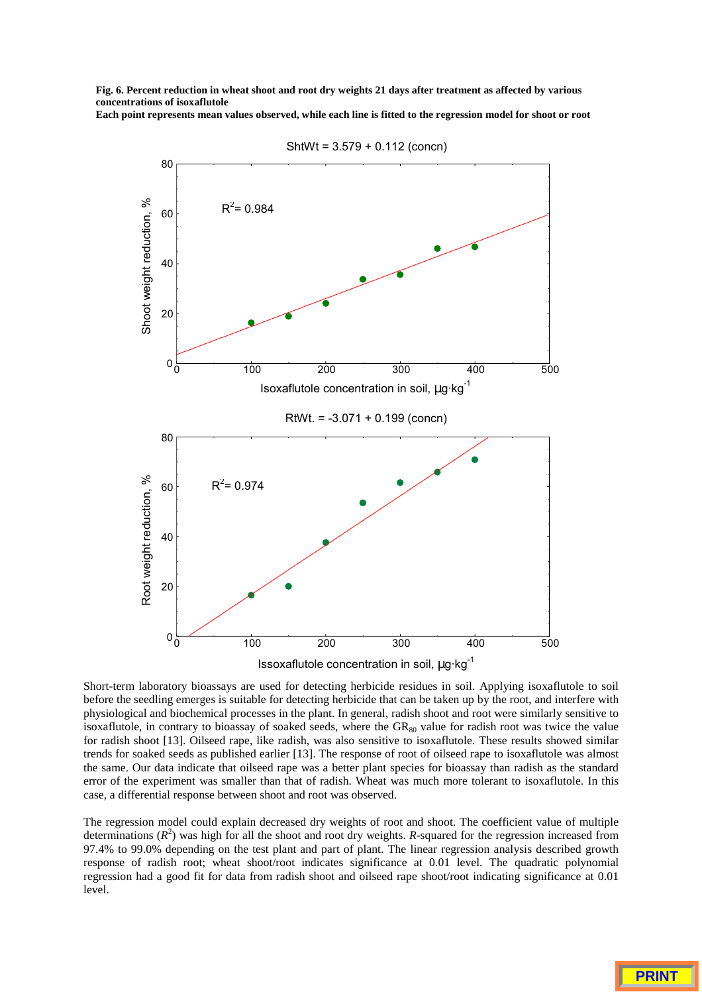**Fig. 6. Percent reduction in wheat shoot and root dry weights 21 days after treatment as affected by various concentrations of isoxaflutole**

**Each point represents mean values observed, while each line is fitted to the regression model for shoot or root**



 $\text{ShtWt} = 3.579 + 0.112 \text{ (concn)}$ 

Short-term laboratory bioassays are used for detecting herbicide residues in soil. Applying isoxaflutole to soil before the seedling emerges is suitable for detecting herbicide that can be taken up by the root, and interfere with physiological and biochemical processes in the plant. In general, radish shoot and root were similarly sensitive to isoxaflutole, in contrary to bioassay of soaked seeds, where the  $GR_{80}$  value for radish root was twice the value for radish shoot [13]. Oilseed rape, like radish, was also sensitive to isoxaflutole. These results showed similar trends for soaked seeds as published earlier [13]. The response of root of oilseed rape to isoxaflutole was almost the same. Our data indicate that oilseed rape was a better plant species for bioassay than radish as the standard error of the experiment was smaller than that of radish. Wheat was much more tolerant to isoxaflutole. In this case, a differential response between shoot and root was observed.

The regression model could explain decreased dry weights of root and shoot. The coefficient value of multiple determinations  $(R^2)$  was high for all the shoot and root dry weights. *R*-squared for the regression increased from 97.4% to 99.0% depending on the test plant and part of plant. The linear regression analysis described growth response of radish root; wheat shoot/root indicates significance at 0.01 level. The quadratic polynomial regression had a good fit for data from radish shoot and oilseed rape shoot/root indicating significance at 0.01 level.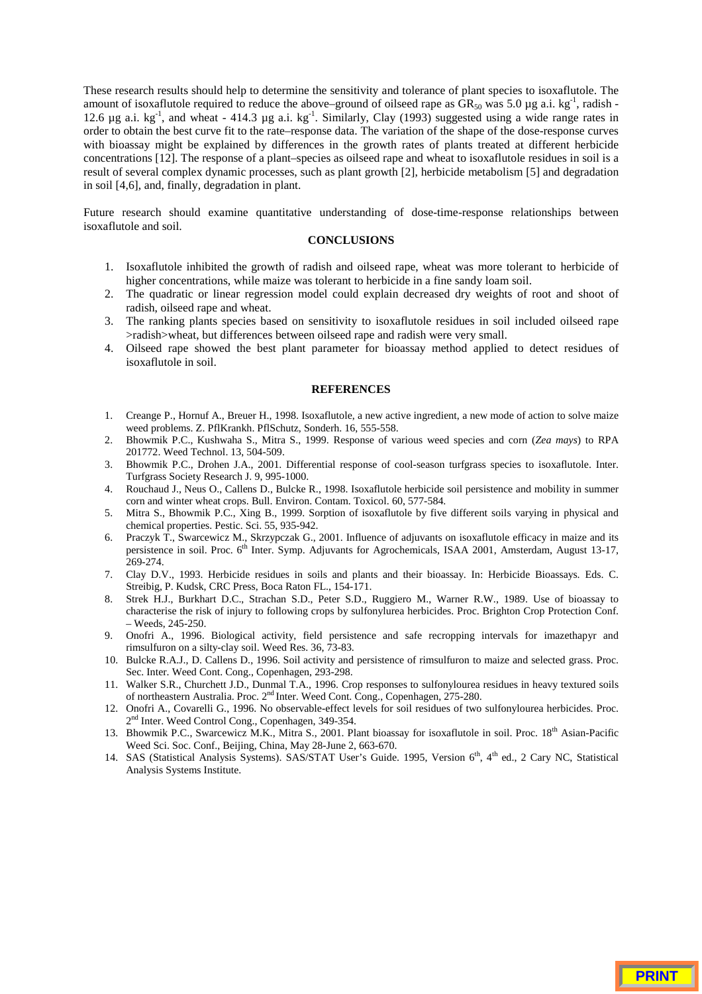These research results should help to determine the sensitivity and tolerance of plant species to isoxaflutole. The amount of isoxaflutole required to reduce the above–ground of oilseed rape as  $GR_{50}$  was 5.0 µg a.i. kg<sup>-1</sup>, radish -12.6  $\mu$ g a.i. kg<sup>-1</sup>, and wheat - 414.3  $\mu$ g a.i. kg<sup>-1</sup>. Similarly, Clay (1993) suggested using a wide range rates in order to obtain the best curve fit to the rate–response data. The variation of the shape of the dose-response curves with bioassay might be explained by differences in the growth rates of plants treated at different herbicide concentrations [12]. The response of a plant–species as oilseed rape and wheat to isoxaflutole residues in soil is a result of several complex dynamic processes, such as plant growth [2], herbicide metabolism [5] and degradation in soil [4,6], and, finally, degradation in plant.

Future research should examine quantitative understanding of dose-time-response relationships between isoxaflutole and soil.

# **CONCLUSIONS**

- 1. Isoxaflutole inhibited the growth of radish and oilseed rape, wheat was more tolerant to herbicide of higher concentrations, while maize was tolerant to herbicide in a fine sandy loam soil.
- 2. The quadratic or linear regression model could explain decreased dry weights of root and shoot of radish, oilseed rape and wheat.
- 3. The ranking plants species based on sensitivity to isoxaflutole residues in soil included oilseed rape >radish>wheat, but differences between oilseed rape and radish were very small.
- 4. Oilseed rape showed the best plant parameter for bioassay method applied to detect residues of isoxaflutole in soil.

#### **REFERENCES**

- 1. Creange P., Hornuf A., Breuer H., 1998. Isoxaflutole, a new active ingredient, a new mode of action to solve maize weed problems. Z. PflKrankh. PflSchutz, Sonderh. 16, 555-558.
- 2. Bhowmik P.C., Kushwaha S., Mitra S., 1999. Response of various weed species and corn (*Zea mays*) to RPA 201772. Weed Technol. 13, 504-509.
- 3. Bhowmik P.C., Drohen J.A., 2001. Differential response of cool-season turfgrass species to isoxaflutole. Inter. Turfgrass Society Research J. 9, 995-1000.
- 4. Rouchaud J., Neus O., Callens D., Bulcke R., 1998. Isoxaflutole herbicide soil persistence and mobility in summer corn and winter wheat crops. Bull. Environ. Contam. Toxicol. 60, 577-584.
- 5. Mitra S., Bhowmik P.C., Xing B., 1999. Sorption of isoxaflutole by five different soils varying in physical and chemical properties. Pestic. Sci. 55, 935-942.
- 6. Praczyk T., Swarcewicz M., Skrzypczak G., 2001. Influence of adjuvants on isoxaflutole efficacy in maize and its persistence in soil. Proc. 6<sup>th</sup> Inter. Symp. Adjuvants for Agrochemicals, ISAA 2001, Amsterdam, August 13-17, 269-274.
- 7. Clay D.V., 1993. Herbicide residues in soils and plants and their bioassay. In: Herbicide Bioassays. Eds. C. Streibig, P. Kudsk, CRC Press, Boca Raton FL., 154-171.
- 8. Strek H.J., Burkhart D.C., Strachan S.D., Peter S.D., Ruggiero M., Warner R.W., 1989. Use of bioassay to characterise the risk of injury to following crops by sulfonylurea herbicides. Proc. Brighton Crop Protection Conf. – Weeds, 245-250.
- 9. Onofri A., 1996. Biological activity, field persistence and safe recropping intervals for imazethapyr and rimsulfuron on a silty-clay soil. Weed Res. 36, 73-83.
- 10. Bulcke R.A.J., D. Callens D., 1996. Soil activity and persistence of rimsulfuron to maize and selected grass. Proc. Sec. Inter. Weed Cont. Cong., Copenhagen, 293-298.
- 11. Walker S.R., Churchett J.D., Dunmal T.A.*,* 1996. Crop responses to sulfonylourea residues in heavy textured soils of northeastern Australia. Proc. 2<sup>nd</sup> Inter. Weed Cont. Cong., Copenhagen, 275-280.
- 12. Onofri A., Covarelli G., 1996. No observable-effect levels for soil residues of two sulfonylourea herbicides. Proc. 2<sup>nd</sup> Inter. Weed Control Cong., Copenhagen, 349-354.
- 13. Bhowmik P.C., Swarcewicz M.K., Mitra S., 2001. Plant bioassay for isoxaflutole in soil. Proc. 18<sup>th</sup> Asian-Pacific Weed Sci. Soc. Conf., Beijing, China, May 28-June 2, 663-670.
- 14. SAS (Statistical Analysis Systems). SAS/STAT User's Guide. 1995, Version 6<sup>th</sup>, 4<sup>th</sup> ed., 2 Cary NC, Statistical Analysis Systems Institute.